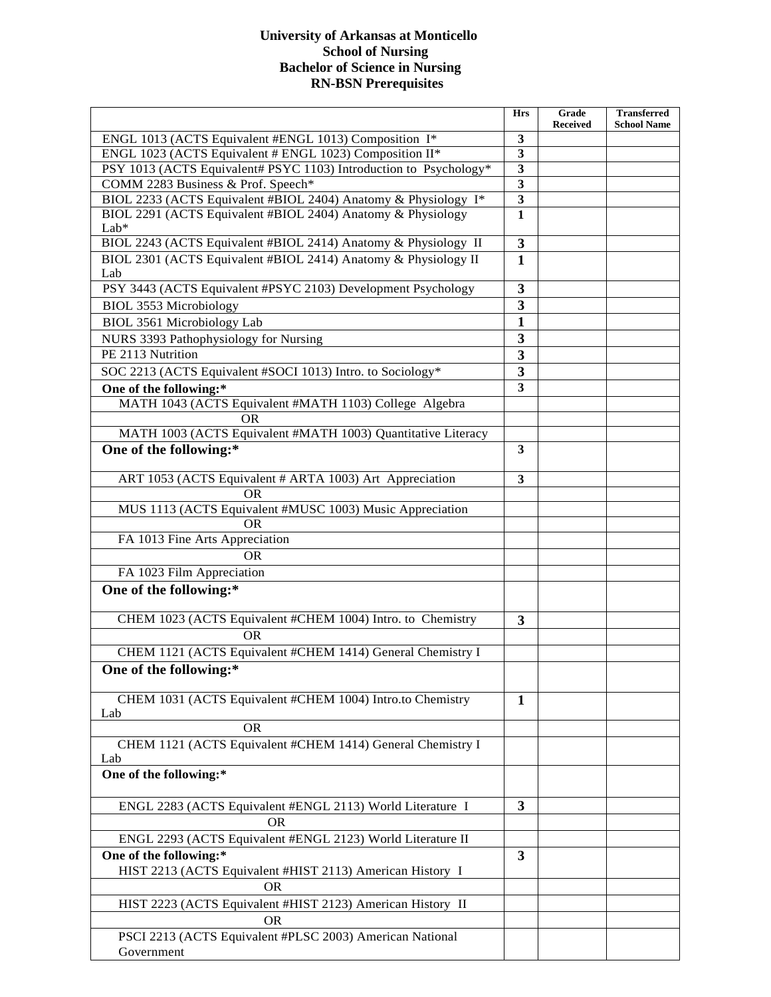## **University of Arkansas at Monticello School of Nursing Bachelor of Science in Nursing RN-BSN Prerequisites**

|                                                                       | <b>Hrs</b>                              | Grade<br><b>Received</b> | <b>Transferred</b><br><b>School Name</b> |
|-----------------------------------------------------------------------|-----------------------------------------|--------------------------|------------------------------------------|
| ENGL 1013 (ACTS Equivalent #ENGL 1013) Composition I*                 | $\mathbf{3}$                            |                          |                                          |
| ENGL 1023 (ACTS Equivalent # ENGL 1023) Composition II*               | $\mathbf{3}$                            |                          |                                          |
| PSY 1013 (ACTS Equivalent# PSYC 1103) Introduction to Psychology*     | $\mathbf{3}$                            |                          |                                          |
| COMM 2283 Business & Prof. Speech*                                    | $\mathbf{3}$                            |                          |                                          |
| BIOL 2233 (ACTS Equivalent #BIOL 2404) Anatomy & Physiology I*        | $\overline{\mathbf{3}}$                 |                          |                                          |
| BIOL 2291 (ACTS Equivalent #BIOL 2404) Anatomy & Physiology<br>Lab*   | $\overline{\mathbf{1}}$                 |                          |                                          |
| BIOL 2243 (ACTS Equivalent #BIOL 2414) Anatomy & Physiology II        | $\boldsymbol{3}$                        |                          |                                          |
| BIOL 2301 (ACTS Equivalent #BIOL 2414) Anatomy & Physiology II<br>Lab | $\mathbf{1}$                            |                          |                                          |
| PSY 3443 (ACTS Equivalent #PSYC 2103) Development Psychology          | $\mathbf{3}$                            |                          |                                          |
| <b>BIOL 3553 Microbiology</b>                                         | $\mathbf{3}$                            |                          |                                          |
| <b>BIOL 3561 Microbiology Lab</b>                                     | $\mathbf{1}$                            |                          |                                          |
| NURS 3393 Pathophysiology for Nursing                                 | $\mathbf{3}$                            |                          |                                          |
| PE 2113 Nutrition                                                     |                                         |                          |                                          |
|                                                                       | 3                                       |                          |                                          |
| SOC 2213 (ACTS Equivalent #SOCI 1013) Intro. to Sociology*            | $\mathbf{3}$<br>$\overline{\mathbf{3}}$ |                          |                                          |
| One of the following:*                                                |                                         |                          |                                          |
| MATH 1043 (ACTS Equivalent #MATH 1103) College Algebra                |                                         |                          |                                          |
| <b>OR</b>                                                             |                                         |                          |                                          |
| MATH 1003 (ACTS Equivalent #MATH 1003) Quantitative Literacy          | 3                                       |                          |                                          |
| One of the following:*                                                |                                         |                          |                                          |
| ART 1053 (ACTS Equivalent # ARTA 1003) Art Appreciation               | 3                                       |                          |                                          |
| OR                                                                    |                                         |                          |                                          |
| MUS 1113 (ACTS Equivalent #MUSC 1003) Music Appreciation              |                                         |                          |                                          |
| OR.                                                                   |                                         |                          |                                          |
| FA 1013 Fine Arts Appreciation                                        |                                         |                          |                                          |
| <b>OR</b>                                                             |                                         |                          |                                          |
| FA 1023 Film Appreciation                                             |                                         |                          |                                          |
| One of the following:*                                                |                                         |                          |                                          |
| CHEM 1023 (ACTS Equivalent #CHEM 1004) Intro. to Chemistry            | $\mathbf{3}$                            |                          |                                          |
| <b>OR</b>                                                             |                                         |                          |                                          |
| CHEM 1121 (ACTS Equivalent #CHEM 1414) General Chemistry I            |                                         |                          |                                          |
| One of the following:*                                                |                                         |                          |                                          |
| CHEM 1031 (ACTS Equivalent #CHEM 1004) Intro.to Chemistry<br>Lab      | $\mathbf{1}$                            |                          |                                          |
| <b>OR</b>                                                             |                                         |                          |                                          |
| CHEM 1121 (ACTS Equivalent #CHEM 1414) General Chemistry I<br>Lab     |                                         |                          |                                          |
| One of the following:*                                                |                                         |                          |                                          |
| ENGL 2283 (ACTS Equivalent #ENGL 2113) World Literature I             | 3                                       |                          |                                          |
| <b>OR</b>                                                             |                                         |                          |                                          |
| ENGL 2293 (ACTS Equivalent #ENGL 2123) World Literature II            |                                         |                          |                                          |
| One of the following:*                                                | $\overline{\mathbf{3}}$                 |                          |                                          |
| HIST 2213 (ACTS Equivalent #HIST 2113) American History I             |                                         |                          |                                          |
| <b>OR</b>                                                             |                                         |                          |                                          |
| HIST 2223 (ACTS Equivalent #HIST 2123) American History II            |                                         |                          |                                          |
| <b>OR</b>                                                             |                                         |                          |                                          |
| PSCI 2213 (ACTS Equivalent #PLSC 2003) American National              |                                         |                          |                                          |
| Government                                                            |                                         |                          |                                          |